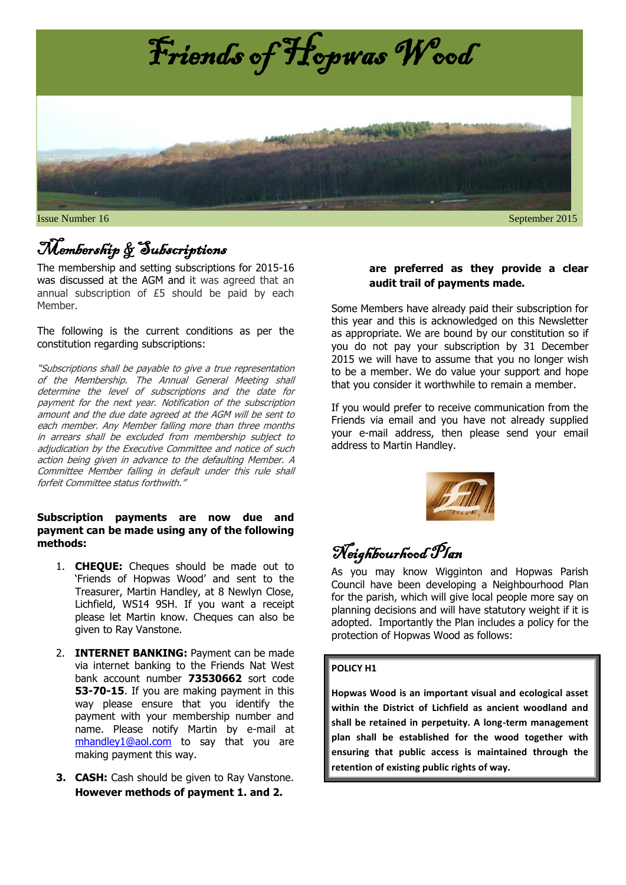

**Issue Number 16** September 2015

## Membership & Subscriptions

The membership and setting subscriptions for 2015-16 was discussed at the AGM and it was agreed that an annual subscription of £5 should be paid by each Member.

The following is the current conditions as per the constitution regarding subscriptions:

"Subscriptions shall be payable to give a true representation of the Membership. The Annual General Meeting shall determine the level of subscriptions and the date for payment for the next year. Notification of the subscription amount and the due date agreed at the AGM will be sent to each member. Any Member falling more than three months in arrears shall be excluded from membership subject to adjudication by the Executive Committee and notice of such action being given in advance to the defaulting Member. A Committee Member falling in default under this rule shall forfeit Committee status forthwith."

#### **Subscription payments are now due and payment can be made using any of the following methods:**

- 1. **CHEQUE:** Cheques should be made out to 'Friends of Hopwas Wood' and sent to the Treasurer, Martin Handley, at 8 Newlyn Close, Lichfield, WS14 9SH. If you want a receipt please let Martin know. Cheques can also be given to Ray Vanstone.
- 2. **INTERNET BANKING:** Payment can be made via internet banking to the Friends Nat West bank account number **73530662** sort code **53-70-15**. If you are making payment in this way please ensure that you identify the payment with your membership number and name. Please notify Martin by e-mail at [mhandley1@aol.com](mailto:mhandley1@aol.com) to say that you are making payment this way.
- **3. CASH:** Cash should be given to Ray Vanstone. **However methods of payment 1. and 2.**

#### **are preferred as they provide a clear audit trail of payments made.**

Some Members have already paid their subscription for this year and this is acknowledged on this Newsletter as appropriate. We are bound by our constitution so if you do not pay your subscription by 31 December 2015 we will have to assume that you no longer wish to be a member. We do value your support and hope that you consider it worthwhile to remain a member.

If you would prefer to receive communication from the Friends via email and you have not already supplied your e-mail address, then please send your email address to Martin Handley.



## Neighbourhood Plan

As you may know Wigginton and Hopwas Parish Council have been developing a Neighbourhood Plan for the parish, which will give local people more say on planning decisions and will have statutory weight if it is adopted. Importantly the Plan includes a policy for the protection of Hopwas Wood as follows:

#### **POLICY H1**

**Hopwas Wood is an important visual and ecological asset within the District of Lichfield as ancient woodland and shall be retained in perpetuity. A long-term management plan shall be established for the wood together with ensuring that public access is maintained through the retention of existing public rights of way.**